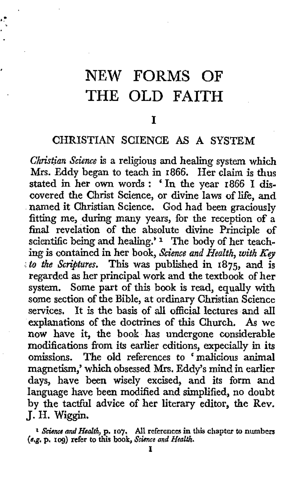## NEW FORMS OF THE OLD **FAITH**

## I

## CHRISTIAN SCIENCE **AS A SYSTEM**

*Christian Science* is a religious and healing system which Mrs. Eddy began to teach in **1866.** Her claim is thus stated in her own words : ' In the year **1866** I discovered the Christ Science, or divine laws of life, and named it Christian Science. God had been graciously fitting me, during many years, for the reception **of** *a*  final revelation of the absolute divine Principle of scientific being and healing.' The body of her teaching is contained in her book, *Science and Health*, with *Key ..to the Scriptures.* This was published in **1875,** and is regarded **as** her principal work and the textbook of her system. Some part of this book is read, equally with some section of the Bible, at ordinary Christian Science services. It is the basis of **all** official lectures and all explanations of the doctrines of this Church. *As* we **now** have it, the book has undergone considerable modifications from its earlier editions, expecially in its The old references to 'malicious animal magnetism,' which obsessed **Mrs.** Eddy's mind in earlier **days,** have been wisely excised, and its form and language have been modified and simplified, no doubt by the tactful advice of her literary editor, the Rev. J. H. Wiggin.

<sup>2</sup> Science and Health, p. 107. All references in this chapter to numbers (e.g. p. 109) refer to this book, Science and Health.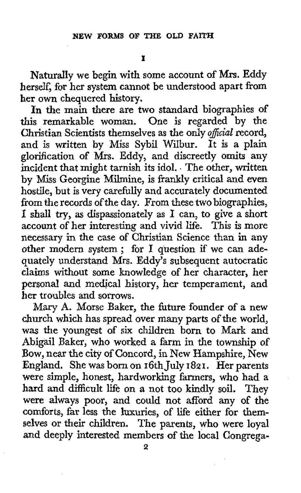Naturally we begin with some account of **Mix.** Eddy herself, for her system cannot be understood apart from her own chequered history.

In the main there are two standard biographies of this remarkable woman. One is regarded by the Christian Scientists themselves as the only *oficial* record, and is written by Miss Sybil Wilbur. It is a plain glorification of Mrs. Eddy, and discreetly **omits** any incident that might tarnish its idol. . The other, written by Miss Georgine Milmine, is frankly critical and even hostile, but is very carefully and accurately documented from the records of the day. From these two biographies, **I** shall try, **as** dispassionately as **I** can, to give a short account of her interesting and vivid life. This is more necessary in the case of Christian Science than in any other modern system ; for **I** question if we can adequately understand Mrs. Eddy's subsequent autocratic claims without some knowledge of her character, her personal and medical history, her temperament, and her troubles and sorrows.

Mary **A.** Morse Baker, the fiture founder of a new church which has spread over many parts of the world, **was** the youngest of *six* children born to Mark and Abigail Baker, who worked a farm in the township of **Bow,** near the city of Concord, in New Hampshire, New England, She was born on 16th July **1821.** Her parents were simple, honest, hardworking farmers, who had a hard and difficult life on a not too kindly soil. They were always poor, and could not afford any of the comforts, far less the luxuries, of life either for themselves or their children. The parents, who were loyal and deeply interested members of the local Congrega-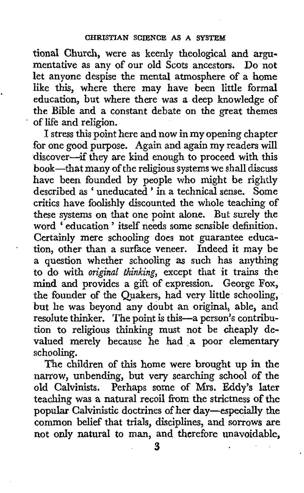tional Church, were as keenly theological and argumentative as any of our old Scots ancestors. Do not let anyone despise the mental atmosphere of a home like *this,* where there may have been little formal education, but where there was a deep knowledge **of**  the Bible and a constant debate on the great themes of life and religion.

I stress this point here and now in my opening chapter for one good purpose. Again and again my readers will discover-if they are kind enough to proceed with this book-that many of the religious systems we shall discuss have been founded by people who might be rightly described as ' uneducated ' in a technical sense. Some critics have foolishly discounted the whole teaching of these systems on that one point alone. But surely the word 'education' itself needs some sensible definition. Certainly mere schooling does not guarantee education, other than a surface veneer. Indeed it may be a question whether schooling **as** such has anything to do with *original thinking,* except that it trains the mind and provides a gift of expression. George **Fox,**  the founder of the Quakers, had very little schooling, but he was beyond any doubt an original, able, and resolute thinker. The point is this-a person's contribution to religious thinking must not be cheaply devalued merely because he had a poor elementary schooling.

.

The children of this home were brought up in the narrow, unbending, but very searching school *of* the old Calvinists. Perhaps some of Mrs. Eddy's later teaching was a natural recoil from the strictness of the popular Calvinistic doctrines of her day-especially the common belief that trials, disciplines, and sorrows **are**  not **only** natural to man, and therefore unavoidable,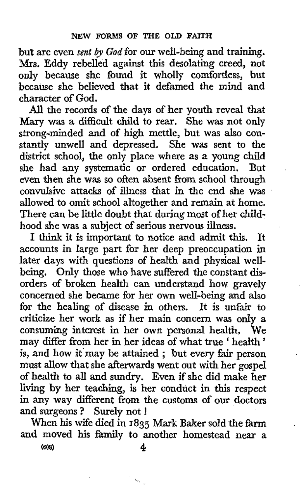but are even *sent by God* for our well-being and training. **Mrs,** Eddy rebelled against this desolating creed, not only because she found it wholly comfortless, but because she believed that it defamed the mind and character of God.

*All* the records of the days of her youth reveal that Mary was a difficult child to rear. She was not only strong-minded and of high mettle, but was also constantly unwell and depressed. She **was** sent to the district school, the only place where as a young child<br>she had any systematic or ordered education. But she had any systematic or ordered education. even then she was so often absent from school through convulsive attacks of illness that in the end she was allowed to omit school altogether and remain at home. There can be little doubt that during most of her childhood she was a subject of serious nervous illness.

**I** think it is important to notice and admit this. It accounts in large part for her deep preoccupation in later days with questions of health and physical wellbeing. Only those who have suffered the constant disorders of broken health can understand **how** gravely concerned she became for her own well-being and also for the healing of disease in others. It is unfair to criticize her work as if her main concern was only a consuming interest in her own personal health, We may differ from her in her ideas of what true ' health ' is, and how it'may be attained ; but every fair person must allow that she afterwards went out with her **gospel**  of health to all and sundry. Even if she did make her living by her teaching, is her conduct in this respect in any way different from the customs of our doctors and surgeons ? Surely not !

When his wife died in **1835** Mark Baker sold the farm and moved his family to another homestead near **a** 

**(SOS) 4** 

 $\omega_{\nu_{\rm eq}}$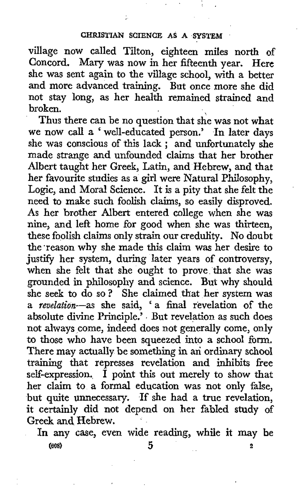village now called Tilton, eighteen miles north of Concord. Mary was now in her fifteenth year. Here she was sent again to the village school, with a better and more advanced training. But once more she did not stay long, as her health remained strained and broken.

Thus there can be no question that she was not what we now call a 'well-educated person.' In later days she was conscious of this lack ; and unfortunately she made strange and unfounded claims that her brother Albert taught her Greek, Latin, and Hebrew, and that her favourite studies as a girl were Natural Philosophy, Logic, and Moral Science. It is a pity that she felt the need to make such foolish claims, so easily disproved. **As** her brother Albert entered college when she was nine, and left home for good when she was thirteen, these foolish claims only strain our credulity. No doubt the 'reason why she made this claim was her desire to justify her system, during later years of controversy, when she felt that she ought to prove that she was grounded in philosophy and science. But why should she seek to do so? She claimed that her system was a revelation-as she said, **'a** final revelation of the absolute divine Principle.' But revelation as such does not always come, indeed does not generally come, only to those who have been squeezed into a school form. There may actually be something in an ordinary school training that represses revelation and inhibits free self-expression.  $\hat{I}$  point this out merely to show that her claim to a formal education was not only false, but quite unnecessary. If she had a true revelation, it certainly did not depend on her fabled study of Greek **and** Hebrew.

In **any** case, even wide reading, while **it** may be *(608)* **5 2**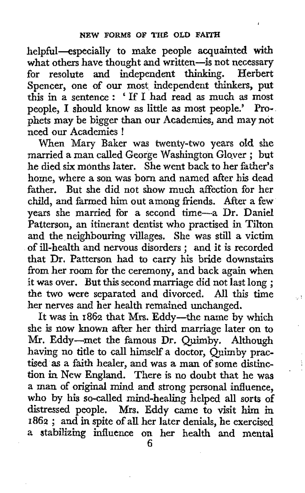helpful-especially to make people acquainted with what others have thought and written-is not necessary for resolute and independent thinking. Herbert Spencer, one **of** our most independent thinkers, put this in a sentence : ' If **I** had read as much **as** most people, **I** should know **as** little **as** most people.' Prophets may be bigger than our Academies, and may not need our Academies !

When Mary Baker was twenty-two years old she when Mary Baker was twenty-two years old she<br>married a man called George Washington Glover; but he died *six* months later. She went back to her father's home, where **a** son was born and named after his dead father. But she did not show much affection for her child, and farmed him out among friends. After a few years she married for a second time-a Dr. Daniel Patterson, an itinerant dentist who practised in Tilton and the neighbouring villages. She was still a victim of ill-health and nervous disorders ; and it is recorded that Dr. Patterson had to carry his bride downstairs from her room for the ceremony, and back again when it was over. But this second marriage did not last long ; the two were separated and divorced. All this time her nerves and her health remained unchanged.

U.

It was in  $1862$  that Mrs. Eddy-the name by which she is now known after her third marriage later on to Mr. Eddy-met the famous Dr. Quimby. Although having no title to call himself a doctor, Ouimby practised **as** a faith healer, and was a man of some distinc**tion** in New England. There is no doubt that he was a man of original mind and strong personal influence, who by his so-called mind-healing helped all sorts of distressed people. Mrs. Eddy came to visit him in **<sup>1862</sup>**; and in spite **of** all her later denials, he exercised a stabilizing influence on her health and mental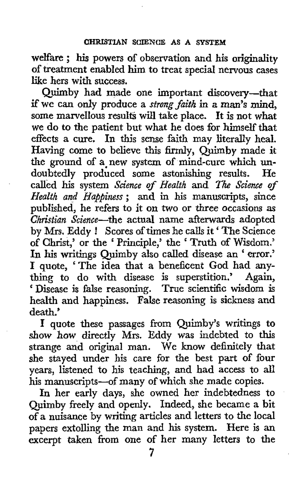welfare ; **his** powers of observation and his originality of treatment enabled him to treat special nervous cases like hers with success.

Quimby had made one important discovery-that if we can only produce *a strong faith* **in** a man's **mind,**  some marvellous results will take place. It is not what we **do** to the patient but what he does for himself that effects a cure. In this sense faith may literally heal. Having come to believe this firmly, Quimby made it the ground of a,new system of mind-cure which undoubtedly produced some astonishing results. He called his system Science *of Health* and *lize Science of Health and Hapjiness;* **and** in his manuscripts, since published, he refers to it on two or three occasions **as**  *Christian Science*—the actual name afterwards adopted by Mrs. Eddy ! Scores of times he calls it ' The Science of Christ,' or the ' Principle,' the ' Truth of Wisdom.' In **his** writings Quimby also called disease an ' error.' **I** quote, 'The idea that **a** beneficent God had anything to do with disease is superstition.' Again, ' Disease is false reasoning. True scientific wisdom **is**  health and happiness. False reasoning is sickness and death.'

**I** quote these passages from Quimby's writings **to**  show how directly Mrs. Eddy was indebted to this strange and original man. We **know** definitely that she stayed under his care for the best part of four years, listened to his teaching, and had access to **all**  his manuscripts-of many of which she made copies.

In her early days, she owned her indebtedness to Quimby freely and openly. Indeed, she became a bit of **a** nuisance by writing articles and letters to the local papers extolling the man and his system. Here is an excerpt taken from one *of* her many letters to the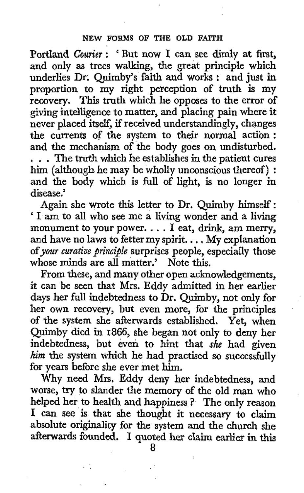Portland *Courier* : ' But now **I** can see dimly at first, and only **as** trees walking, the great principle which underlies Dr. Quimby's faith and works : and just in proportion to my right perception **of** truth is my recovery. This truth which he opposes to the error of giving intelligence to matter, and placing pain where it never placed itself, if received understandingly, changes the currents **of** the system to their normal action : and the mechanism of the body goes on undisturbed. , . . The truth which he establishes in the patient cures him (although he may be wholly unconscious thereof) : and the body which is full of light, is no longer in disease.'

Again she wrote this letter to Dr. Quimby himself : ' **I** am to all who see me a living wonder and a living monument to your power. . . . **<sup>I</sup>**eat, drink, am merry, and have no laws to fetter my spirit. . . . My explanation of *your curative principle* surprises people, especially those whose minds are all matter.' Note this.

From these, and many other open acknowledgements, it can be seen that Mrs. Eddy admitted in her earlier days her full indebtedness to Dr. Quimby, not only for her own recovery, but even more, for the principles **of** the system she afterwards established. Yet, when Quirnby died in **1866,** she began not only **to** deny her indebtedness, but even to hint that *she* had given *him* the system which he had practised so successfully for years before she ever met him.

Why need **Mrs.** Eddy deny her indebtedness, and worse, try to slander the memory of the old **man** who I can see is that she thought it necessary to claim absolute originality for the system and the church she afterwards founded. **I** quoted her claim earlier in this

*8*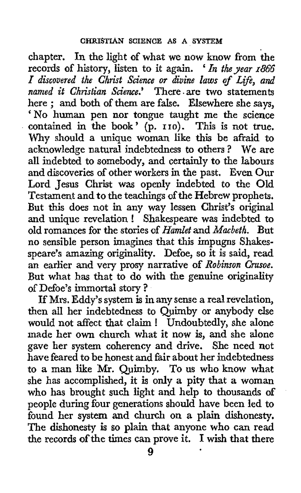chapter. In the light of what we now know from the records of history, listen to it again. *'In thyear 1866 1 discovered the Christ Science or divine laws of Lfe, and named it Christian Science.'* There. are two statements here ; and both of them are false. Elsewhere she says, 'No human pen nor tongue taught me the science contained in the book' (p. 110). This is not true. Why should a unique woman like this be afraid to acknowledge natural indebtedness to others ? We are all indebted to somebody, and certainly to the labours and discoveries of other workers in the past. Even Our Lord Jesus Christ was openly indebted to the Old Testament and to the teachings of the Hebrew prophets. But this does not in any way lessen Christ's original and unique revelation ! Shakespeare was indebted to old romances for the stories of *Hamlet* and *Mucbeth.* But no sensible person imagines that this impugns Shakesspeare's amazing originality. Defoe, so it is said, read an earlier and very prosy narrative of *Robinson Crusoe.*  But what has that to do with the genuine originality of Defoe's immortal story ?

**If** Mrs. Eddy's system is in any sense a real revelation, then all her indebtedness to Quimby or anybody else would not affect that claim ! Undoubtedly, she alone made her own church what it now is, and she alone gave her system coherency and drive. She need not have feared to be honest and fair about her indebtedness to a man like Mr. Quimby. To us who know what she has accomplished, it is only **a** pity that a woman who has brought such light and help to thousands of people during four generations should have been led to found **her** system and church on a plain dishonesty. The dishonesty **is** so plain that anyone who *cm* read the records of the times can prove it. I wish that there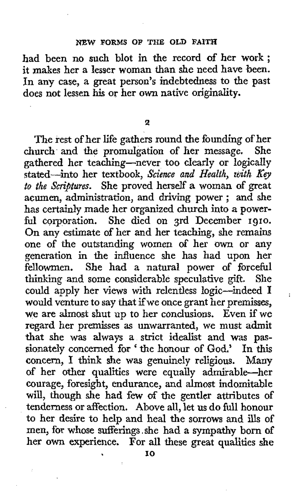## **NEW FORMS OF THE OLD FAITH**

had been no such blot in the record of her work ; it makes her a lesser woman than she need have been. In any case, a great person's indebtedness to the past does not lessen his or her own native originality.

**2** 

The rest of her life gathers round the founding of her church and *the* promulgation of her message. She gathered her teaching-never too clearly or logically stated-into her textbook, *Science and Health, with Key to the Scriptures.* She proved herself a woman of great acumen, administration, and driving power ; and she has certainly made her organized church into a powerful corporation. She died on 3rd December **1910.**  On any estimate of her and her teaching, she remains one of the outstanding women of her own or any generation in the influence she has had upon her fellowmen. She had a natural power of forceful<br>thinking and some considerable speculative gift. She thinking and some considerable speculative gift. could apply her views with relentless logic-indeed **I**  would venture to say that if we once grant her premisses, we are almost shut up to her conclusions. Even if we regard her premisses **as** unwarranted, we must admit that she was always a strict idealist and **was** passionately concerned for ' the honour of God.' In this concern, I think she was genuinely religious. Many of her other qualities were equally admirable-her courage, foresight, endurance, and almost indomitable will, though she had few **of** the gentler attributes of tenderness or affection. Above all, let us do full honour to her desire **to** help and heal the sorrows and ills **of**  men, for whose sufferings ,she had a sympathy born **of**  her own experience. For all these great qualities she

÷

**I0**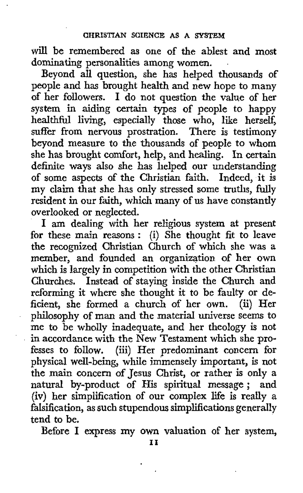will be remembered as one of the ablest and most dominating personalities among women.

Beyond all question, she has helped thousands of people and has brought health and new hope to many of her followers. I do not question the value of her system in aiding certain types of people to happy healthful living, especially those who, like herself, suffer from nervous prostration. There is testimony beyond measure to the thousands of people to whom she has brought comfort, help, and healing. In certain definite ways also she has lielped our understanding of some aspects of the Christian faith. Indeed, **it** is my claim that she has only stressed some truths, fully resident in our faith, which many of **us** have constantly overlooked or neglected.

I am dealing with her religious system at present for these main reasons : (i) She thought fit to leave the recognized Christian Church of which she was a member, and founded an organization of her own which is largely in competition with the other Christian Churches. Instead of staying inside the Church and reforming it where she thought it to be faulty or deficient, she formed a church of her own. (ii) Her philosophy of man and the material universe seem to me to be wholly inadequate, and her theology **is** not in accordance with the New Testament which she professes to follow. (iii) Her predominant concern for physical well-being, while immensely important, **is** not the **main** concern of Jesus Christ, or rather is only a natural by-product of His spiritual message; and (iv) her simplification of our complex life is really a falsification, as such stupendous simplifications generally tend to **be.** 

l.

Before I express **my** own valuation of her system,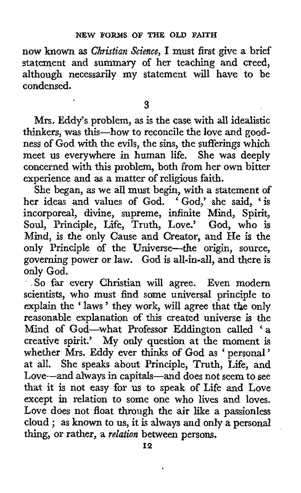now known **as** *Christian Science,* I must first give **3** brief statement and summary of her teaching and creed, although necessarily my statement will have to be condensed.

**3** 

Mrs. Eddy's problem, as is the case **with** all idealistic thinkers, was this-how to reconcile the love and goodness of God with the evils, the sins, the sufferings which meet us everywhere in human life. She was deeply concerned with this problem, both from her own bitter experience and **as** a matter of religious faith.

She began, as we all must begin, with a statement **of**  her ideas and values of God. 'God,' she said, 'is incorporeal, divine, supreme, infinite Mind, Spirit, Soul, Principle, Life, Truth, Love.' God, who is Mind, is the only Cause and Creator, and He is the only Principle of the Universe-the origin, source, governing power or law. God is all-in-all, and there is only God.

' .So far every Christian will agree. Even modern scientists, who must find some universal principle to explain the ' laws ' they work, will agree that the only reasonable explanation of this created universe is the Mind of God-what Professor Eddington called 'a creative spirit.' **My only** question at the moment is whether Mrs. Eddy ever thinks of **God** as ' personal ' at all. She speaks about Principle, Truth, Life, and Love-and always in capitals-and does not seem to see that it is not easy for **us** to speak of Life and Love except in relation to some one who lives and loves. Love does not float through the air like a passionless cloud ; as known to **us,** it is always and only **a** personal thing, or rather, a *relation* between persons.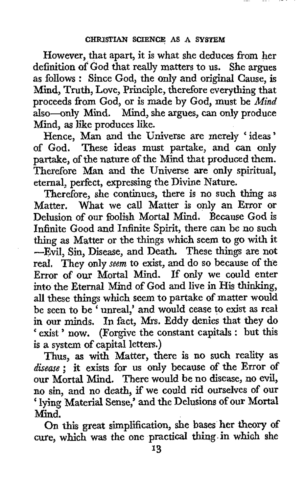However, that apart, it is what she deduces **from** her definition of God that really matters to us. She argues as follows : Since God, the only and original Cause, is Mind, Truth, Love, Principle, therefore everything that proceeds from God, or is made by God, must be *Mind*  also-only Mind. Mind, she argues, can *only* produce Mind, **as** like produces like.

Hence, Man and the Universe are merely ' ideas ' of God. These ideas must partake, and can only partake, **of** the nature of the Mind that produced them. Therefore Man **and** the Universe are only spiritual, eternal, perfect, expressing the Divine Nature.

Therefore, she continues, there is no such thing as Matter, What we call Matter is only an Error or Delusion of our foolish Mortal Mind, Because God is Infinite Good and Infinite Spirit, there can be no such thing **as** Matter or the things which seem **to** go with it -Evil, Sin, Disease, and Death. These things are not real. They only *seem* to exist, and do so because of the Error **of our** Mortal Mind. If only we could enter into the Eternal Mind of God and live in His thinking, **all** these things which seem to partake **of** matter would an these timps which seem to partake of matter would in our minds. In fact, Mrs. Eddy denies that they do ' exist ' now. (Forgive the constant capitals : but this is a system **of** capital letters.)

Thus, **as** with Matter, there **is** no **such** reality as *disease* ; it exists for us only because of the Error of our Mortal Mind. There would be no disease, no **evil,**  no **sin,** and no death, **if** we could rid ourselves of our ' lying Material Sense,' and the Delusions **of our** Mortal Mind.

On this great siiplification, she bases her theory **of**  cure, which was the one practical thing. in which she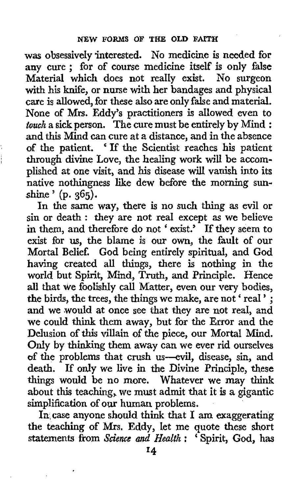was obsessively interested. No medicine is needed for any cure ; for **of** course medicine itself is only false Material which does not really exist. **No** surgeon with **his** knife, or nurse with her bandages and physical care is allowed, for these also are only false and material. None of **Mrs.** Eddy's practitioners **is** allowed even to *touch* a sick person. The cure must be entirely by Mind : and this Mind can cure at a distance, and in the absence **of** the patient. If the Scientist reaches his patient through divine Love, the healing work **will** be accomplished at one visit, and his disease **will** vanish into its native nothingness like dew before the **morning** sunshine ' **(p. 365).** 

In the same way, there is no such thing as evil or sin or death : they are not real except as we believe **in** them, and therefore do not ' exist.' If they seem to exist for **us,** the blame is our own, the fault of our Mortal Belief. God being entirely spiritual, and God having created all things, there is nothing in the world but Spirit, Mind, Truth, and Principle. Hence all that we foolishly call Matter, even our very bodies, the birds, the trees, the things we make, are not ' real ' ; and we would at once see that they are not real, and we could think them away, but for the Error and the Delusion of **this** villain of the piece, our Mortal Mind. Only by thinking them away can we ever rid ourselves **of** the problems that crush us-evil, disease, sin, and death. If only we live in the Divine Principle, these things would be no more. Whatever we may think about this teaching, we must admit that it is **a** gigantic simplification **of** our human problems.

In,case anyone should think that **I** am exaggerating the teaching of Mrs. Eddy, let me quote these short statements **from** *SGiencG and Health* : ' Spirit, **God, has**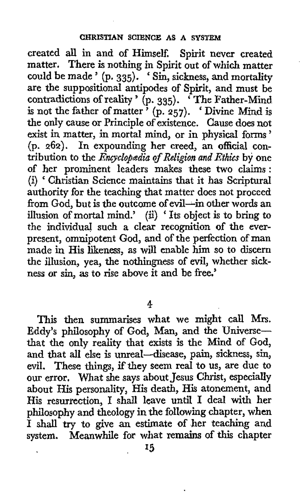created all in and of Himself. Spirit never created matter. There is nothing in Spirit out of which matter could be made '  $(p. 335)$ . ' Sin, sickness, and mortality are the suppositional antipodes of Spirit, and must be are the suppositional antipodes of Spirit, and must be<br>contradictions of reality ' (p. 335). 'The Father-Mind is not the father of matter ' (p. **257).** ' Divine Mind is the only cause or Principle of existence. Cause does not exist in matter, in mortal mind, or in physical forms ' **(p. 262).** In expounding her creed, an official contribution to the *Encyclopedia of Religion and Ethics* by one of her prominent leaders makes these two claims : (i) ' Christian Science maintains that it has Scriptural authority for the teaching that matter does not proceed from God, but is the outcome of evil-in other words an illusion of mortal mind.' **(3)** ' Its object is to bring to the individual such a clear recognition of the everpresent, omnipotent God, and of the perfection of man made in His likeness, **as** will enable him so to discern the illusion, yea, the nothingness of evil, whether sickness or sin, **as** to rise above it and be free.'

**4** 

This then summarises what we might call **Mrs.**  Eddy's philosophy of God, Man, and the Universethat **the** only reality that exists is the Mind of God, and that all else is unreal-disease, pain, sickness, sin, evil. These things, ifthey seem real to *us,* are due to **our** error, What she says about Jesus Christ, especially about His personality, His death, **His** atonement, and His resurrection, I shall leave until I deal with her philosophy and theology in the following chapter, when I shall **try** to give an estimate of her teaching and system. Meanwhile for what remains of this chapter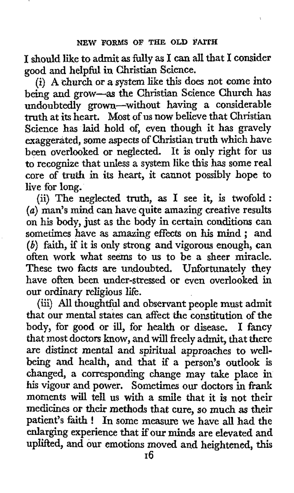**I** should like to admit as hlly as I can all that I consider good and helpful in Christian Science.

(i) **A** church or *a* system like this does not come into being and grow-as the Christian Science Church has undoubtedly grown-without having a considerable **truth** at its heart. Most of us now believe that Christian Science has laid hold *of,* even though it has gravely exaggerated, some aspects of Christian truth which have been overlooked or neglected. It is only right for us to recognize that unless a system like **this** has some real core of truth in its heart, it cannot possibly hope to live for long.

(ii) The neglected **truth,** as I see it, is twofold: *(a)* man's mind can have quite amazing creative results on **his** body, just as the body in certain conditions can sometimes have **as** amazing effects on his mind ; and *(b)* faith, if it is only strong and vigorous enough, can often work what seems to us to be a sheer miracle. These two facts are undoubted. Unfortunately they have often been under-stressed or even overlooked in our ordinary religious life.

(iii) All thoughtful and observant people must admit that our mental states can affect the constitution of the body, for good or ill, for health or disease. I fancy that most doctors know, and will freely admit, that there are distinct mental and spiritual approaches to wellbeing and health, and that if **a** person's outlook is changed, **a** corresponding change may take place in **his** vigour and power. Sometimes our doctors in frank moments will tell **us** with a smile that it is not their medicines or their methods that cure, so much **as** their patient's faith ! In some measure we have all had the enlarging experience that if **our** minds are elevated and uplifted, and our emotions moved and heightened, this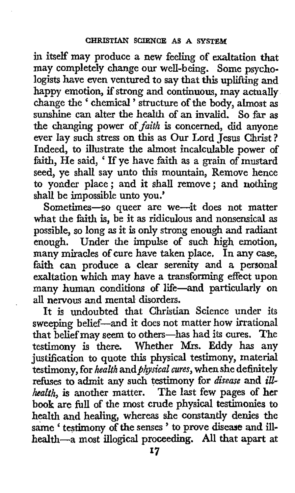in itself' may produce **a** new feeling of exaltation that may completely change our well-being. Some psychologists have even ventured to say that this uplifting and happy emotion, if strong and continuous, may actually change the ' chemical ' structure of **the** body, almost **as**  sunshine can alter the health of an invalid. *So* far **as**  the changing power of *faith* is concerned, did anyone ever lay such stress on **this** as Our Lord Jesus Christ ? Indeed, to illustrate the almost incalculable power of faith, He said, ' If ye have faith as a grain of mustard seed, ye shall say unto this mountain, Remove hence to yonder place; and it shall remove; and nothing shall be impossible unto you.'

Sometimes-so queer are we-it does not matter what the faith is, be it as ridiculous and nonsensical **as**  possible, so long **as** it is only strong enough and radiant enough. Under the impulse of such high emotion, many miracles of cure have taken place. In any case, faith can produce **a** clear serenity and a personal exaltation which may have a transforming effect upon many human conditions of life-and particularly on **all** nervous and mental disorders.

It is undoubted that Christian Science under its sweeping belief-and it does not matter how irrational that belief may seem to others-has had its cures. The testimony is there. Whether **Mrs.** Eddy has any justification to quote this physical testimony, material testimony, for *health* and *physical cures*, when she definitely refuses to admit any such testimony **for** *disease* and *illhealth,* is another matter. The **last** few pages of her book are *hll* of the most crude physical testimonies to health and healing, whereas she constantly denies the same ' testimony of the senses ' to prove disease and illhealth-a **most** illogical proceeding. **All** that apart at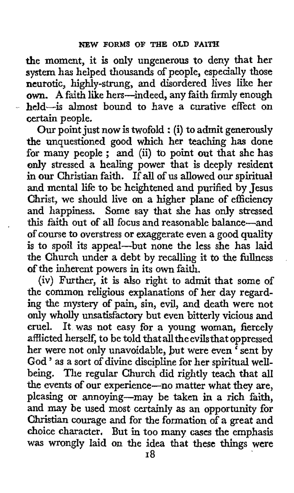the moment, it is only ungenerous to deny that her system has helped thousands of people, especially those neurotic, highly-strung, and disordered lives like her **own. A** faith like hers-indeed, any faith firmly enough held-is almost bound to have a curative effect on certain people.

Our point just now is twofold : (i) to admit generously the unquestioned good which her teaching **has** done the unquestioned good which her teaching has done<br>for many people; and (ii) to point out that she has only stressed a healing power that is deeply resident in **our** Christian faith. If all of **us** allowed our spiritual and mental life to be heightened and purified by Jesus Christ, we should live on a higher plane of efficiency and happiness. Some say that she has only stressed this faith out of all focus and reasonable balance-and of course to overstress or exaggerate even a good quality is to spoil its appeal-but none the less she has laid the Church under a debt by recalling it to the fullness of the inherent powers in its own faith.

(iv) Further, it is also right to admit that some of the common religious explanations of her day regard**ing** the mystery of pain, sin, evil, and death were not only wholly unsatisfactory but even bitterly vicious and cruel. It was not easy for a young woman, fiercely afflicted herself, to be told that all the evils that oppressed her were not only unavoidable, but were even <sup>7</sup> sent by God ' as a sort of divine discipline for her spiritual wellbeing. The regular Church did rightly teach that all the events **of** our experience-no matter what they are, pleasing or annoying-may be taken in **a** rich faith, and may *be* used most certainly **as** an opportunity for Christian courage and for the formation of a great and choice character. But in too many cases the emphasis was wrongly laid on the idea that these things were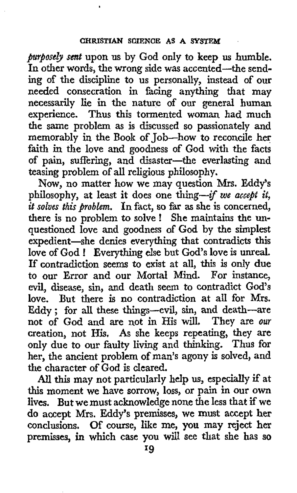*purpose& sent* upon us by God only to keep **us** humble. In other words, the wrong side **was** accented-the sending of the discipline to **us** personally, instead of **our**  needed consecration in facing anything that may necessarily lie in **the** nature of our general human experience. Thus this tormented woman had much the same problem as is discussed so passionately and memorably in the **Book** of Job-how to reconcile her faith in the love and goodness of God with the facts **of** pain, suffering, and disaster-the everlasting and teasing problem of all religious philosophy.

**Now,** no matter how we may question Mrs. Eddy's philosophy, at least it does one thing--if *we accept it, it s01ue.s this problem.* In fact, *so* far as she is concerned, there is no problem to solve ! She maintains the unquestioned love and goodness of God by the simplest expedient-she denies everything that contradicts this love of **God** ! Everything else but God's love is unreal. **If** contradiction seems to exist at all, this is only due to our Error and our Mortal Mind. For instance, evil, disease, sin, and death seem to contradict God's love. But there is no contradiction at all for Mrs. Eddy ; for aU these things-evil, sin, and death-are not of God and axe not in His will. They are *our*  creation, not **His. As** she keeps repeating, they are only due to our faulty living and thinking. **Thus** for her, the ancient problem of man's agony is solved, and the character of God is cleared.

*All* **this** may not particularly help us, especially **if** at this moment we have sorrow, loss, or pain in our own **lives. But** we must acknowledge none the less that if we **do** accept Mrs. Eddy's premisses, we must accept her conclusions. Of course, like me, **you** may reject her prexnisses, *in* which **case you** will see that she has **so**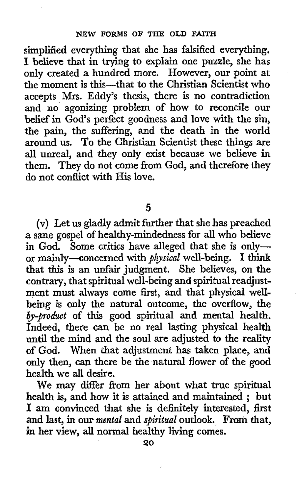simplified everything that she has falsified everything. **1** believe that in trying to explain one puzzle, she has only created a hundred more. However, our point at the moment is this-that to the Christian Scientist who accepts Mrs. Eddy's thesis, there is no contradiction and no agonizing problem of how to reconcile our belief in God's perfect goodness and love with the sin, the pain, the suffering, and the death in the world around us. To the Christian Scientist these things are all unreal, and they only exist because we believe in them. They do not come from God, and therefore they do not conflict with His love.

*5* 

(v) **Let** us gladly admit further that she has preached a sane gospel of healthy-mindedness for all who believe in God. Some critics have alleged that she is onlyor mainly-concerned with *physical* well-being. I think that this is an unfair judgment. She believes, on the contrary, that spiritual well-being and spiritual readjustment must always come first, and that physical wellbeing is only the natural outcome, the overflow, the *by-product* of this good spiritual and mental health. Indeed, there can be no real lasting physical health until the mind and the soul are adjusted to the reality of God. When that adjustment has taken place, and only then, can there be the natural flower *of* the good health we all desire.

**We** may differ from her about what true spiritual We may differ from her about what true spiritual<br>health is, and how it is attained and maintained; but I **am** convinced that she is definitely interested, first and last, in our *mental* and *spiritual* outlook. From that, in her view, **all normal** healthy living **comes.**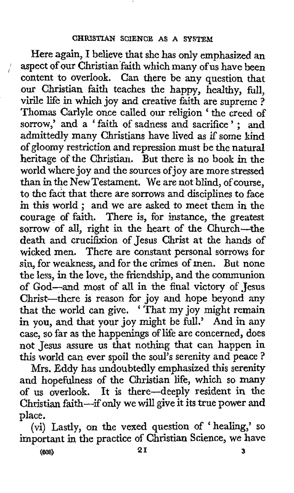Here again, **I** believe that she has only emphasized an aspect of our Christian faith which many of us have been content to overlook. Can there be **any** question that our Christian faith teaches the happy, healthy, full, virile life in which joy and creative faith are supreme ? Thomas Carlyle once called our religion ' the creed of sorrow,' and a ' faith of sadness and sacrifice ' ; **and**  admittedly many Christians have lived as if some kind of gloomy restriction and repression must be the natural heritage of the Christian. But there is no book in the world where joy and the sources ofjoy are more stressed than in the New Testament. We are not blind, of course, **to** the fact that there are sorrows and disciplines to face in this world ; and we are asked to meet them in the courage of faith. There is, for instance, the greatest sorrow of all, right in the heart of the Church-the death and crucifixion of Jesus Christ at the hands of wicked men. There are constant personal sorrows for sin, for weakness, and for the crimes of men. But none the less, in the love, the friendship, and the communion of God-and most of **all** in the final victory of Jesus Christ-there is reason for joy and hope beyond any Unrist—there is reason for joy and hope beyond any that the world can give. 'That my joy might remain in you, and that your joy might be full.' And in any case, so far as the happenings of life are concerned, does not Jesus assure **us** that nothing that can happen in this world can ever spoil the soul's serenity and peace ?

Mrs. Eddy has undoubtedly emphasized this serenity and hopefulness **of** the Christian life, which so **many**  of us **overlook. It** is there-deeply resident in the Christian faith-if only we will give it its true power **and**  place.

(vi) Lastly, on the vexed question of 'healing,' so important in the practice of Christian Science, we have

(sea) **21 3**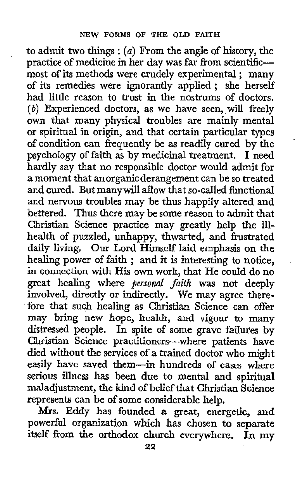to admit two things : *(a)* From the angle of history, the practice of medicine in her day was far from scientific-most of its methods were crudely experimental ; many of its remedies were ignorantly applied; she herself had little reason to trust in the nostrums of doctors. *(b)* Experienced doctors, as we have seen, will freely own that many physical troubles are mainly mental or spiritual in origin, and that certain particular types of condition can frequently be **as** readily cured by the psychology of faith as by medicinal treatment. I need hardly say that no responsible doctor would admit for a moment that anorganic derangement can be so treated and cured. But manywill allow that so-called functional and nervous troubles may be thus happily altered and bettered. Thus there may be some reason to admit that Christian Science practice may greatly help the illhealth of puzzled, unhappy, thwarted, and frustrated daily living. Our Lord Himself laid emphasis on the healing power of faith ; and it is interesting to notice, in connection with His **own** work, that He could do no great healing where *personal faith* was not deeply involved, directly or indirectly. We may agree therefore that such healing as Christian Science can offer may bring new hope, health, and vigour to many distressed people. In spite of some grave failures by Christian Science practitioners-where patients have died without the services of a trained doctor who might easily have saved them-in hundreds of cases where serious illness has been due **to** mental and spiritual maladjustment, the kind of belief that Christian Science represents can be of some considerable help.

**Mrs.** Eddy has founded a great, energetic, **and**  powerful organization which has chosen to separate itself from the orthodox church everywhere. In my